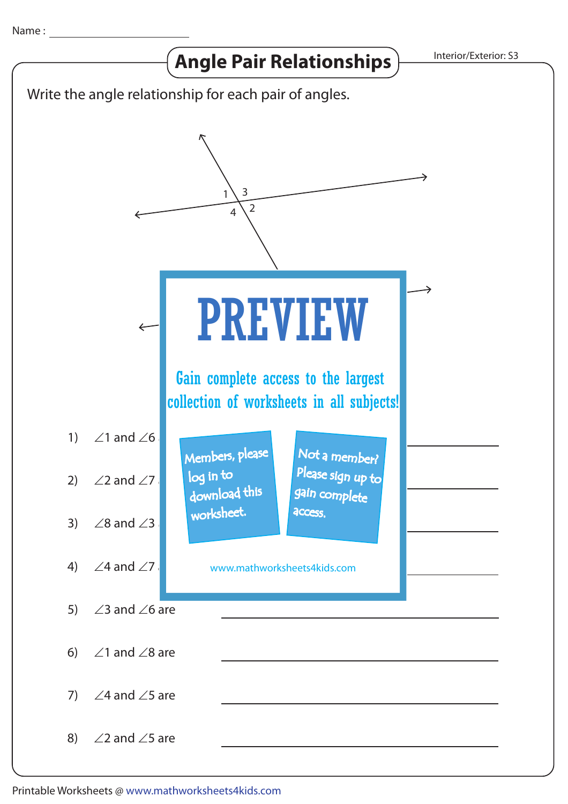